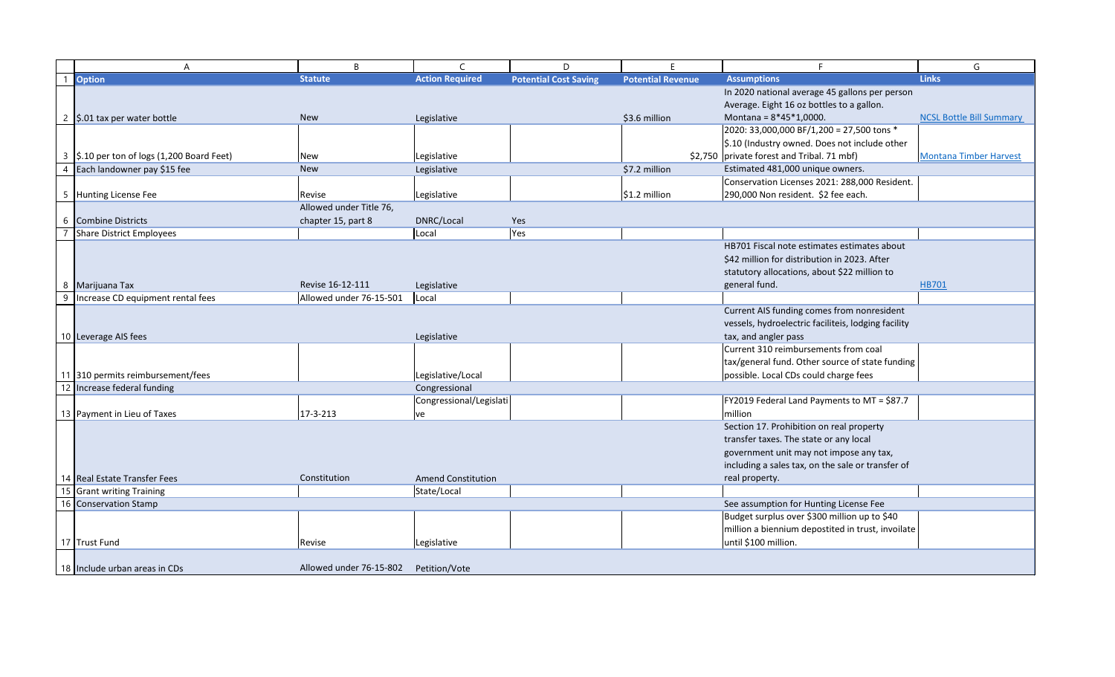|                | A                                                         | B                       | $\mathsf{C}$                             | D                            | F                        |                                                                                        |                        |
|----------------|-----------------------------------------------------------|-------------------------|------------------------------------------|------------------------------|--------------------------|----------------------------------------------------------------------------------------|------------------------|
|                | <b>Option</b>                                             | <b>Statute</b>          | <b>Action Required</b>                   | <b>Potential Cost Saving</b> | <b>Potential Revenue</b> | <b>Assumptions</b>                                                                     | <b>Links</b>           |
|                |                                                           |                         |                                          |                              |                          | In 2020 national average 45 gallons per person                                         |                        |
|                |                                                           |                         |                                          |                              |                          | Average. Eight 16 oz bottles to a gallon.                                              |                        |
| 2              | \$.01 tax per water bottle                                | <b>New</b>              | Legislative                              |                              | \$3.6 million            | Montana = $8*45*1,0000$ .                                                              | <b>NCSL Bottle Bil</b> |
|                |                                                           |                         |                                          |                              |                          | 2020: 33,000,000 BF/1,200 = 27,500 tons *                                              |                        |
|                |                                                           |                         |                                          |                              |                          | \$.10 (Industry owned. Does not include other                                          |                        |
| 3              | \$.10 per ton of logs (1,200 Board Feet)                  | <b>New</b>              | Legislative                              |                              |                          | \$2,750 private forest and Tribal. 71 mbf)                                             | <b>Montana Timb</b>    |
| $\overline{4}$ | Each landowner pay \$15 fee                               | <b>New</b>              | Legislative                              |                              | \$7.2 million            | Estimated 481,000 unique owners.                                                       |                        |
|                |                                                           |                         |                                          |                              |                          | Conservation Licenses 2021: 288,000 Resident.                                          |                        |
|                | 5 Hunting License Fee                                     | Revise                  | Legislative                              |                              | $$1.2$ million           | 290,000 Non resident. \$2 fee each.                                                    |                        |
|                |                                                           | Allowed under Title 76, |                                          |                              |                          |                                                                                        |                        |
| 6              | <b>Combine Districts</b>                                  | chapter 15, part 8      | DNRC/Local                               | Yes                          |                          |                                                                                        |                        |
|                | <b>Share District Employees</b>                           |                         | Local                                    | Yes                          |                          |                                                                                        |                        |
|                |                                                           |                         |                                          |                              |                          | HB701 Fiscal note estimates estimates about                                            |                        |
|                |                                                           |                         |                                          |                              |                          | \$42 million for distribution in 2023. After                                           |                        |
|                |                                                           |                         |                                          |                              |                          | statutory allocations, about \$22 million to                                           |                        |
| 8              | Marijuana Tax                                             | Revise 16-12-111        | Legislative                              |                              |                          | general fund.                                                                          | <b>HB701</b>           |
| 9              | Increase CD equipment rental fees                         | Allowed under 76-15-501 | Local                                    |                              |                          |                                                                                        |                        |
|                |                                                           |                         |                                          |                              |                          | Current AIS funding comes from nonresident                                             |                        |
|                |                                                           |                         |                                          |                              |                          | vessels, hydroelectric faciliteis, lodging facility                                    |                        |
|                | 10 Leverage AIS fees                                      |                         | Legislative                              |                              |                          | tax, and angler pass                                                                   |                        |
|                |                                                           |                         |                                          |                              |                          | Current 310 reimbursements from coal                                                   |                        |
|                |                                                           |                         |                                          |                              |                          | tax/general fund. Other source of state funding                                        |                        |
|                | 11 310 permits reimbursement/fees                         |                         | Legislative/Local                        |                              |                          | possible. Local CDs could charge fees                                                  |                        |
|                | 12 Increase federal funding                               |                         | Congressional                            |                              |                          |                                                                                        |                        |
|                |                                                           |                         | Congressional/Legislati                  |                              |                          | FY2019 Federal Land Payments to MT = \$87.7                                            |                        |
|                | 13   Payment in Lieu of Taxes                             | 17-3-213                | <b>ve</b>                                |                              |                          | million                                                                                |                        |
|                |                                                           |                         |                                          |                              |                          | Section 17. Prohibition on real property                                               |                        |
|                |                                                           |                         |                                          |                              |                          | transfer taxes. The state or any local                                                 |                        |
|                |                                                           |                         |                                          |                              |                          | government unit may not impose any tax,                                                |                        |
|                |                                                           |                         |                                          |                              |                          | including a sales tax, on the sale or transfer of                                      |                        |
|                |                                                           | Constitution            |                                          |                              |                          |                                                                                        |                        |
|                | 14 Real Estate Transfer Fees<br>15 Grant writing Training |                         | <b>Amend Constitution</b><br>State/Local |                              |                          | real property.                                                                         |                        |
|                |                                                           |                         |                                          |                              |                          |                                                                                        |                        |
|                | 16 Conservation Stamp                                     |                         |                                          |                              |                          | See assumption for Hunting License Fee<br>Budget surplus over \$300 million up to \$40 |                        |
|                |                                                           |                         |                                          |                              |                          |                                                                                        |                        |
|                |                                                           |                         |                                          |                              |                          | million a biennium depostited in trust, invoilate                                      |                        |
|                | 17 Trust Fund                                             | Revise                  | Legislative                              |                              |                          | until \$100 million.                                                                   |                        |
|                |                                                           |                         |                                          |                              |                          |                                                                                        |                        |
|                | 18 Include urban areas in CDs                             | Allowed under 76-15-802 | Petition/Vote                            |                              |                          |                                                                                        |                        |

| F                                                   | G                               |
|-----------------------------------------------------|---------------------------------|
| <b>Assumptions</b>                                  | <b>Links</b>                    |
| In 2020 national average 45 gallons per person      |                                 |
| Average. Eight 16 oz bottles to a gallon.           |                                 |
| Montana = $8*45*1,0000$ .                           | <b>NCSL Bottle Bill Summary</b> |
| 2020: 33,000,000 BF/1,200 = 27,500 tons *           |                                 |
| \$.10 (Industry owned. Does not include other       |                                 |
| private forest and Tribal. 71 mbf)                  | <b>Montana Timber Harvest</b>   |
| Estimated 481,000 unique owners.                    |                                 |
| Conservation Licenses 2021: 288,000 Resident.       |                                 |
| 290,000 Non resident. \$2 fee each.                 |                                 |
|                                                     |                                 |
|                                                     |                                 |
| HB701 Fiscal note estimates estimates about         |                                 |
| \$42 million for distribution in 2023. After        |                                 |
| statutory allocations, about \$22 million to        |                                 |
| general fund.                                       | HB701                           |
|                                                     |                                 |
| Current AIS funding comes from nonresident          |                                 |
| vessels, hydroelectric faciliteis, lodging facility |                                 |
| tax, and angler pass                                |                                 |
| Current 310 reimbursements from coal                |                                 |
| tax/general fund. Other source of state funding     |                                 |
| possible. Local CDs could charge fees               |                                 |
|                                                     |                                 |
| FY2019 Federal Land Payments to MT = \$87.7         |                                 |
| million                                             |                                 |
| Section 17. Prohibition on real property            |                                 |
| transfer taxes. The state or any local              |                                 |
| government unit may not impose any tax,             |                                 |
| including a sales tax, on the sale or transfer of   |                                 |
| real property.                                      |                                 |
|                                                     |                                 |
| See assumption for Hunting License Fee              |                                 |
| Budget surplus over \$300 million up to \$40        |                                 |
| million a biennium depostited in trust, invoilate   |                                 |
| until \$100 million.                                |                                 |
|                                                     |                                 |
|                                                     |                                 |